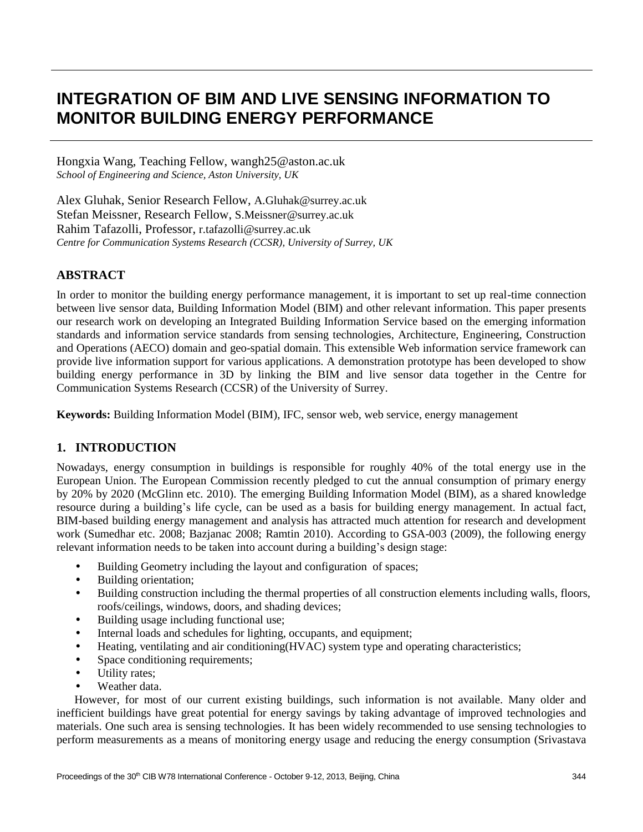# **INTEGRATION OF BIM AND LIVE SENSING INFORMATION TO MONITOR BUILDING ENERGY PERFORMANCE**

Hongxia Wang, Teaching Fellow, wangh25@aston.ac.uk *School of Engineering and Science, Aston University, UK* 

Alex Gluhak, Senior Research Fellow, A.Gluhak@surrey.ac.uk Stefan Meissner, Research Fellow, [S.Meissner@surrey.ac.uk](mailto:S.Meissner@surrey.ac.uk) Rahim Tafazolli, Professor, [r.tafazolli@surrey.ac.uk](mailto:r.tafazolli@surrey.ac.uk) *Centre for Communication Systems Research (CCSR), University of Surrey, UK*

## **ABSTRACT**

In order to monitor the building energy performance management, it is important to set up real-time connection between live sensor data, Building Information Model (BIM) and other relevant information. This paper presents our research work on developing an Integrated Building Information Service based on the emerging information standards and information service standards from sensing technologies, Architecture, Engineering, Construction and Operations (AECO) domain and geo-spatial domain. This extensible Web information service framework can provide live information support for various applications. A demonstration prototype has been developed to show building energy performance in 3D by linking the BIM and live sensor data together in the Centre for Communication Systems Research (CCSR) of the University of Surrey.

**Keywords:** Building Information Model (BIM), IFC, sensor web, web service, energy management

## **1. INTRODUCTION**

Nowadays, energy consumption in buildings is responsible for roughly 40% of the total energy use in the European Union. The European Commission recently pledged to cut the annual consumption of primary energy by 20% by 2020 (McGlinn etc. 2010). The emerging Building Information Model (BIM), as a shared knowledge resource during a building's life cycle, can be used as a basis for building energy management. In actual fact, BIM-based building energy management and analysis has attracted much attention for research and development work (Sumedhar etc. 2008; Bazjanac 2008; Ramtin 2010). According to GSA-003 (2009), the following energy relevant information needs to be taken into account during a building's design stage:

- Building Geometry including the layout and configuration of spaces;
- Building orientation;
- Building construction including the thermal properties of all construction elements including walls, floors, roofs/ceilings, windows, doors, and shading devices;
- Building usage including functional use;
- Internal loads and schedules for lighting, occupants, and equipment;
- Heating, ventilating and air conditioning(HVAC) system type and operating characteristics;
- Space conditioning requirements;
- Utility rates;
- Weather data

However, for most of our current existing buildings, such information is not available. Many older and inefficient buildings have great potential for energy savings by taking advantage of improved technologies and materials. One such area is sensing technologies. It has been widely recommended to use sensing technologies to perform measurements as a means of monitoring energy usage and reducing the energy consumption (Srivastava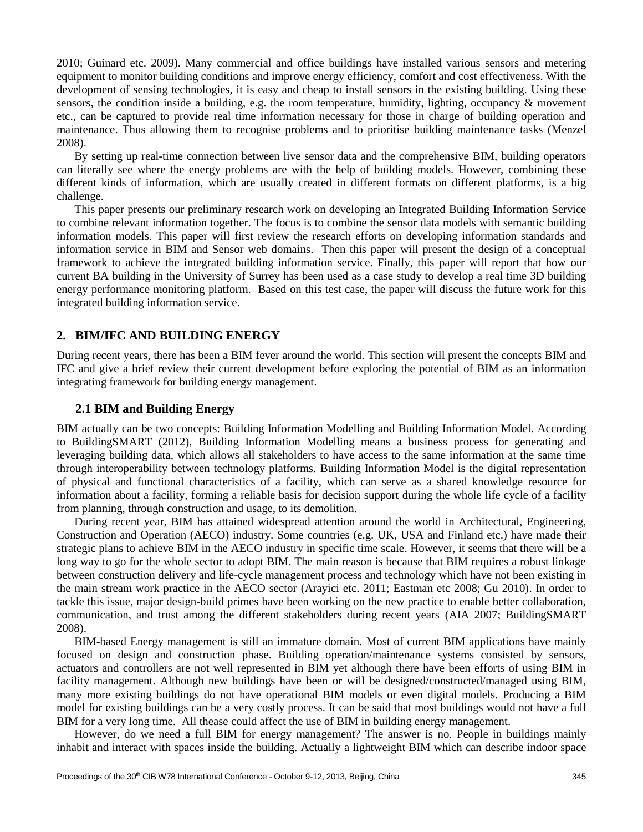2010; Guinard etc. 2009). Many commercial and office buildings have installed various sensors and metering equipment to monitor building conditions and improve energy efficiency, comfort and cost effectiveness. With the development of sensing technologies, it is easy and cheap to install sensors in the existing building. Using these sensors, the condition inside a building, e.g. the room temperature, humidity, lighting, occupancy & movement etc., can be captured to provide real time information necessary for those in charge of building operation and maintenance. Thus allowing them to recognise problems and to prioritise building maintenance tasks (Menzel 2008).

By setting up real-time connection between live sensor data and the comprehensive BIM, building operators can literally see where the energy problems are with the help of building models. However, combining these different kinds of information, which are usually created in different formats on different platforms, is a big challenge.

This paper presents our preliminary research work on developing an Integrated Building Information Service to combine relevant information together. The focus is to combine the sensor data models with semantic building information models. This paper will first review the research efforts on developing information standards and information service in BIM and Sensor web domains. Then this paper will present the design of a conceptual framework to achieve the integrated building information service. Finally, this paper will report that how our current BA building in the University of Surrey has been used as a case study to develop a real time 3D building energy performance monitoring platform. Based on this test case, the paper will discuss the future work for this integrated building information service.

#### **2. BIM/IFC AND BUILDING ENERGY**

During recent years, there has been a BIM fever around the world. This section will present the concepts BIM and IFC and give a brief review their current development before exploring the potential of BIM as an information integrating framework for building energy management.

#### **2.1 BIM and Building Energy**

BIM actually can be two concepts: Building Information Modelling and Building Information Model. According to BuildingSMART (2012), Building Information Modelling means a business process for generating and leveraging building data, which allows all stakeholders to have access to the same information at the same time through interoperability between technology platforms. Building Information Model is the digital representation of physical and functional characteristics of a facility, which can serve as a shared knowledge resource for information about a facility, forming a reliable basis for decision support during the whole life cycle of a facility from planning, through construction and usage, to its demolition.

During recent year, BIM has attained widespread attention around the world in Architectural, Engineering, Construction and Operation (AECO) industry. Some countries (e.g. UK, USA and Finland etc.) have made their strategic plans to achieve BIM in the AECO industry in specific time scale. However, it seems that there will be a long way to go for the whole sector to adopt BIM. The main reason is because that BIM requires a robust linkage between construction delivery and life-cycle management process and technology which have not been existing in the main stream work practice in the AECO sector (Arayici etc. 2011; Eastman etc 2008; Gu 2010). In order to tackle this issue, major design-build primes have been working on the new practice to enable better collaboration, communication, and trust among the different stakeholders during recent years (AIA 2007; BuildingSMART 2008).

BIM-based Energy management is still an immature domain. Most of current BIM applications have mainly focused on design and construction phase. Building operation/maintenance systems consisted by sensors, actuators and controllers are not well represented in BIM yet although there have been efforts of using BIM in facility management. Although new buildings have been or will be designed/constructed/managed using BIM, many more existing buildings do not have operational BIM models or even digital models. Producing a BIM model for existing buildings can be a very costly process. It can be said that most buildings would not have a full BIM for a very long time. All thease could affect the use of BIM in building energy management.

However, do we need a full BIM for energy management? The answer is no. People in buildings mainly inhabit and interact with spaces inside the building. Actually a lightweight BIM which can describe indoor space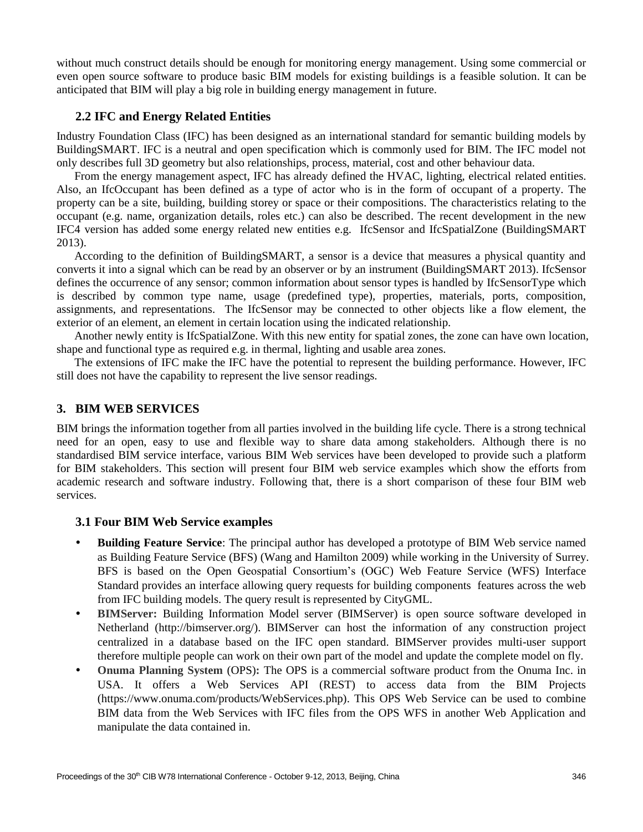without much construct details should be enough for monitoring energy management. Using some commercial or even open source software to produce basic BIM models for existing buildings is a feasible solution. It can be anticipated that BIM will play a big role in building energy management in future.

#### **2.2 IFC and Energy Related Entities**

Industry Foundation Class (IFC) has been designed as an international standard for semantic building models by BuildingSMART. IFC is a neutral and open specification which is commonly used for BIM. The IFC model not only describes full 3D geometry but also relationships, process, material, cost and other behaviour data.

From the energy management aspect, IFC has already defined the HVAC, lighting, electrical related entities. Also, an IfcOccupant has been defined as a type of actor who is in the form of occupant of a property. The property can be a site, building, building storey or space or their compositions. The characteristics relating to the occupant (e.g. name, organization details, roles etc.) can also be described. The recent development in the new IFC4 version has added some energy related new entities e.g. IfcSensor and IfcSpatialZone (BuildingSMART 2013).

According to the definition of BuildingSMART, a sensor is a device that measures a physical quantity and converts it into a signal which can be read by an observer or by an instrument (BuildingSMART 2013). IfcSensor defines the occurrence of any sensor; common information about sensor types is handled by IfcSensorType which is described by common type name, usage (predefined type), properties, materials, ports, composition, assignments, and representations. The IfcSensor may be connected to other objects like a flow element, the exterior of an element, an element in certain location using the indicated relationship.

Another newly entity is IfcSpatialZone. With this new entity for spatial zones, the zone can have own location, shape and functional type as required e.g. in thermal, lighting and usable area zones.

The extensions of IFC make the IFC have the potential to represent the building performance. However, IFC still does not have the capability to represent the live sensor readings.

#### **3. BIM WEB SERVICES**

BIM brings the information together from all parties involved in the building life cycle. There is a strong technical need for an open, easy to use and flexible way to share data among stakeholders. Although there is no standardised BIM service interface, various BIM Web services have been developed to provide such a platform for BIM stakeholders. This section will present four BIM web service examples which show the efforts from academic research and software industry. Following that, there is a short comparison of these four BIM web services.

#### **3.1 Four BIM Web Service examples**

- **Building Feature Service**: The principal author has developed a prototype of BIM Web service named as Building Feature Service (BFS) (Wang and Hamilton 2009) while working in the University of Surrey. BFS is based on the Open Geospatial Consortium's (OGC) Web Feature Service (WFS) Interface Standard provides an interface allowing query requests for building components features across the web from IFC building models. The query result is represented by CityGML.
- **BIMServer:** Building Information Model server (BIMServer) is open source software developed in Netherland (http://bimserver.org/). BIMServer can host the information of any construction project centralized in a database based on the IFC open standard. BIMServer provides multi-user support therefore multiple people can work on their own part of the model and update the complete model on fly.
- **Onuma Planning System** (OPS)**:** The OPS is a commercial software product from the Onuma Inc. in USA. It offers a Web Services API (REST) to access data from the BIM Projects (https://www.onuma.com/products/WebServices.php). This OPS Web Service can be used to combine BIM data from the Web Services with IFC files from the OPS WFS in another Web Application and manipulate the data contained in.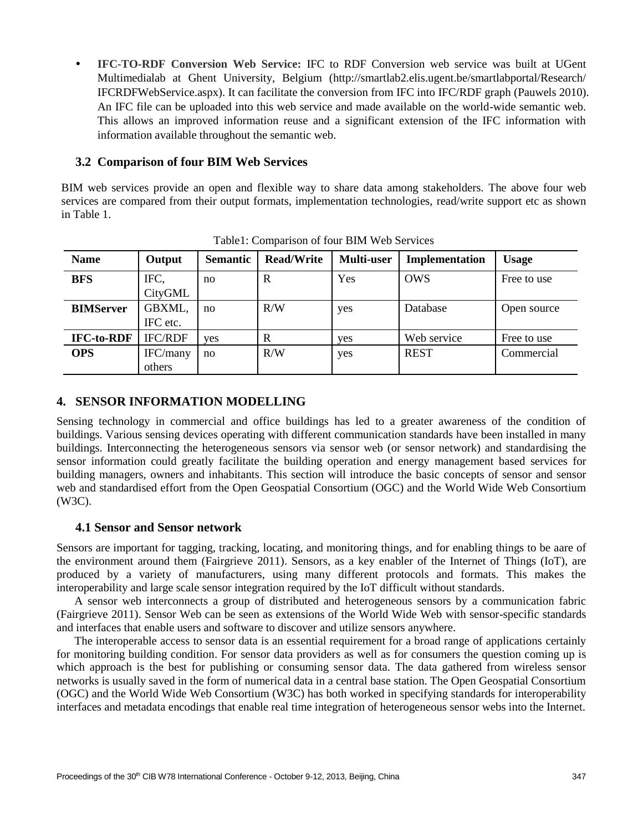**IFC-TO-RDF Conversion Web Service:** IFC to RDF Conversion web service was built at UGent Multimedialab at Ghent University, Belgium [\(http://smartlab2.elis.ugent.be/smartlabportal/Research/](http://smartlab2.elis.ugent.be/smartlabportal/Research/) IFCRDFWebService.aspx). It can facilitate the conversion from IFC into IFC/RDF graph (Pauwels 2010). An IFC file can be uploaded into this web service and made available on the world-wide semantic web. This allows an improved information reuse and a significant extension of the IFC information with information available throughout the semantic web.

#### **3.2 Comparison of four BIM Web Services**

BIM web services provide an open and flexible way to share data among stakeholders. The above four web services are compared from their output formats, implementation technologies, read/write support etc as shown in Table 1.

| <b>Name</b>       | Output             | <b>Semantic</b> | <b>Read/Write</b> | Multi-user | Implementation | <b>Usage</b> |
|-------------------|--------------------|-----------------|-------------------|------------|----------------|--------------|
| <b>BFS</b>        | IFC,<br>CityGML    | no              | R                 | Yes        | <b>OWS</b>     | Free to use  |
| <b>BIMServer</b>  | GBXML,<br>IFC etc. | no              | R/W               | yes        | Database       | Open source  |
| <b>IFC-to-RDF</b> | <b>IFC/RDF</b>     | yes             | R                 | yes        | Web service    | Free to use  |
| <b>OPS</b>        | IFC/many<br>others | no              | R/W               | yes        | <b>REST</b>    | Commercial   |

Table1: Comparison of four BIM Web Services

## **4. SENSOR INFORMATION MODELLING**

Sensing technology in commercial and office buildings has led to a greater awareness of the condition of buildings. Various sensing devices operating with different communication standards have been installed in many buildings. Interconnecting the heterogeneous sensors via sensor web (or sensor network) and standardising the sensor information could greatly facilitate the building operation and energy management based services for building managers, owners and inhabitants. This section will introduce the basic concepts of sensor and sensor web and standardised effort from the Open Geospatial Consortium (OGC) and the World Wide Web Consortium (W3C).

#### **4.1 Sensor and Sensor network**

Sensors are important for tagging, tracking, locating, and monitoring things, and for enabling things to be aare of the environment around them (Fairgrieve 2011). Sensors, as a key enabler of the Internet of Things (IoT), are produced by a variety of manufacturers, using many different protocols and formats. This makes the interoperability and large scale sensor integration required by the IoT difficult without standards.

A sensor web interconnects a group of distributed and heterogeneous sensors by a communication fabric (Fairgrieve 2011). Sensor Web can be seen as extensions of the World Wide Web with sensor-specific standards and interfaces that enable users and software to discover and utilize sensors anywhere.

The interoperable access to sensor data is an essential requirement for a broad range of applications certainly for monitoring building condition. For sensor data providers as well as for consumers the question coming up is which approach is the best for publishing or consuming sensor data. The data gathered from wireless sensor networks is usually saved in the form of numerical data in a central base station. The Open Geospatial Consortium (OGC) and the World Wide Web Consortium (W3C) has both worked in specifying standards for interoperability interfaces and metadata encodings that enable real time integration of heterogeneous sensor webs into the Internet.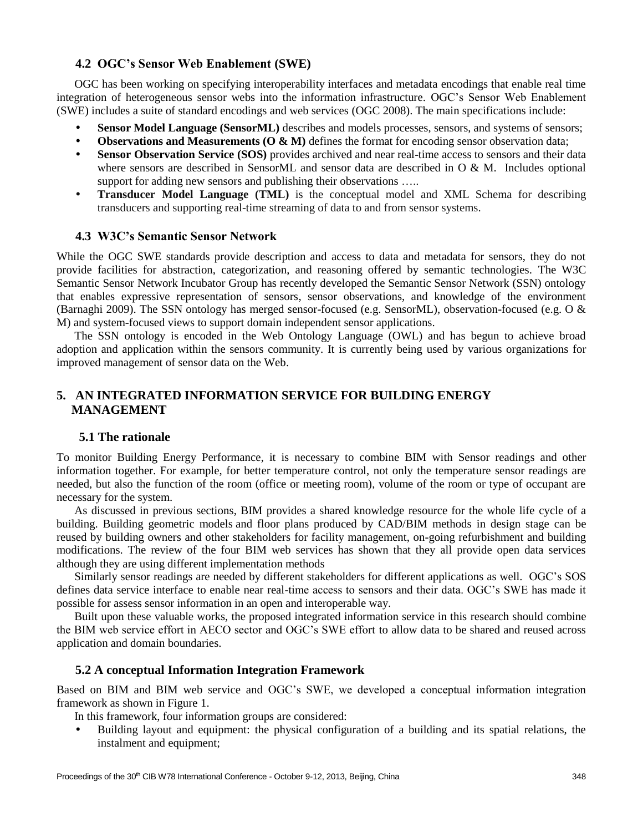#### **4.2 OGC's Sensor Web Enablement (SWE)**

OGC has been working on specifying interoperability interfaces and metadata encodings that enable real time integration of heterogeneous sensor webs into the information infrastructure. OGC's Sensor Web Enablement (SWE) includes a suite of standard encodings and web services (OGC 2008). The main specifications include:

- **Sensor Model Language (SensorML)** describes and models processes, sensors, and systems of sensors;
- **•** Observations and Measurements (O & M) defines the format for encoding sensor observation data;
- **Sensor Observation Service (SOS)** provides archived and near real-time access to sensors and their data where sensors are described in SensorML and sensor data are described in O & M. Includes optional support for adding new sensors and publishing their observations .....
- **Transducer Model Language (TML)** is the conceptual model and XML Schema for describing transducers and supporting real-time streaming of data to and from sensor systems.

#### **4.3 W3C's Semantic Sensor Network**

While the OGC SWE standards provide description and access to data and metadata for sensors, they do not provide facilities for abstraction, categorization, and reasoning offered by semantic technologies. The W3C Semantic Sensor Network Incubator Group has recently developed the Semantic Sensor Network (SSN) ontology that enables expressive representation of sensors, sensor observations, and knowledge of the environment (Barnaghi 2009). The SSN ontology has merged sensor-focused (e.g. SensorML), observation-focused (e.g. O & M) and system-focused views to support domain independent sensor applications.

The SSN ontology is encoded in the Web Ontology Language (OWL) and has begun to achieve broad adoption and application within the sensors community. It is currently being used by various organizations for improved management of sensor data on the Web.

## **5. AN INTEGRATED INFORMATION SERVICE FOR BUILDING ENERGY MANAGEMENT**

#### **5.1 The rationale**

To monitor Building Energy Performance, it is necessary to combine BIM with Sensor readings and other information together. For example, for better temperature control, not only the temperature sensor readings are needed, but also the function of the room (office or meeting room), volume of the room or type of occupant are necessary for the system.

As discussed in previous sections, BIM provides a shared knowledge resource for the whole life cycle of a building. Building geometric models and floor plans produced by CAD/BIM methods in design stage can be reused by building owners and other stakeholders for facility management, on-going refurbishment and building modifications. The review of the four BIM web services has shown that they all provide open data services although they are using different implementation methods

Similarly sensor readings are needed by different stakeholders for different applications as well. OGC's SOS defines data service interface to enable near real-time access to sensors and their data. OGC's SWE has made it possible for assess sensor information in an open and interoperable way.

Built upon these valuable works, the proposed integrated information service in this research should combine the BIM web service effort in AECO sector and OGC's SWE effort to allow data to be shared and reused across application and domain boundaries.

#### **5.2 A conceptual Information Integration Framework**

Based on BIM and BIM web service and OGC's SWE, we developed a conceptual information integration framework as shown in Figure 1.

In this framework, four information groups are considered:

 Building layout and equipment: the physical configuration of a building and its spatial relations, the instalment and equipment;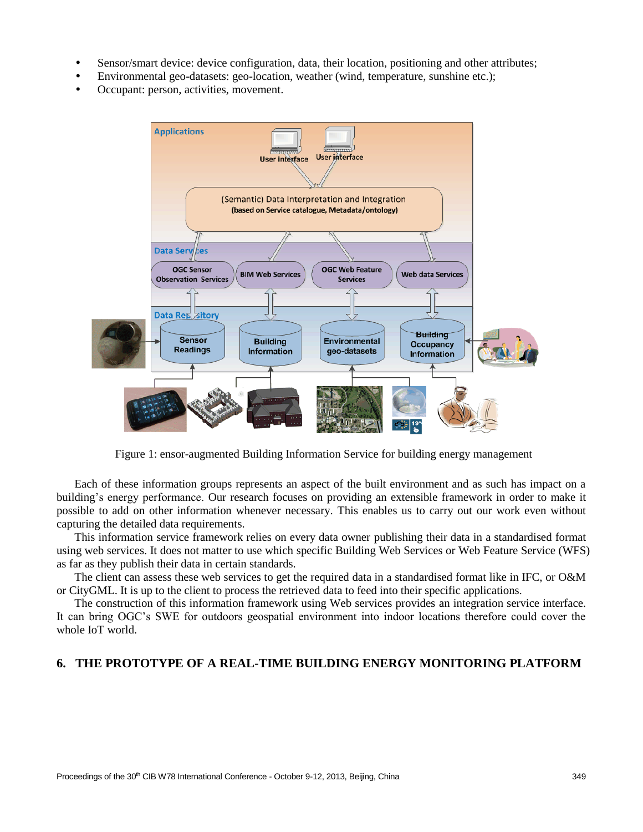- Sensor/smart device: device configuration, data, their location, positioning and other attributes;
- Environmental geo-datasets: geo-location, weather (wind, temperature, sunshine etc.);
- Occupant: person, activities, movement.



Figure 1: ensor-augmented Building Information Service for building energy management

Each of these information groups represents an aspect of the built environment and as such has impact on a building's energy performance. Our research focuses on providing an extensible framework in order to make it possible to add on other information whenever necessary. This enables us to carry out our work even without capturing the detailed data requirements.

This information service framework relies on every data owner publishing their data in a standardised format using web services. It does not matter to use which specific Building Web Services or Web Feature Service (WFS) as far as they publish their data in certain standards.

The client can assess these web services to get the required data in a standardised format like in IFC, or O&M or CityGML. It is up to the client to process the retrieved data to feed into their specific applications.

The construction of this information framework using Web services provides an integration service interface. It can bring OGC's SWE for outdoors geospatial environment into indoor locations therefore could cover the whole IoT world.

#### **6. THE PROTOTYPE OF A REAL-TIME BUILDING ENERGY MONITORING PLATFORM**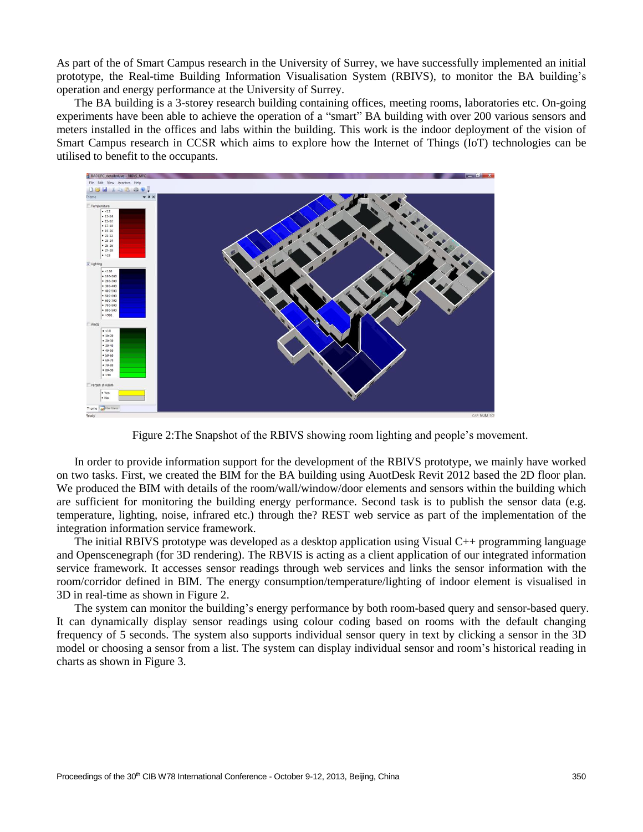As part of the of Smart Campus research in the University of Surrey, we have successfully implemented an initial prototype, the Real-time Building Information Visualisation System (RBIVS), to monitor the BA building's operation and energy performance at the University of Surrey.

The BA building is a 3-storey research building containing offices, meeting rooms, laboratories etc. On-going experiments have been able to achieve the operation of a "smart" BA building with over 200 various sensors and meters installed in the offices and labs within the building. This work is the indoor deployment of the vision of Smart Campus research in CCSR which aims to explore how the Internet of Things (IoT) technologies can be utilised to benefit to the occupants.



Figure 2:The Snapshot of the RBIVS showing room lighting and people's movement.

In order to provide information support for the development of the RBIVS prototype, we mainly have worked on two tasks. First, we created the BIM for the BA building using AuotDesk Revit 2012 based the 2D floor plan. We produced the BIM with details of the room/wall/window/door elements and sensors within the building which are sufficient for monitoring the building energy performance. Second task is to publish the sensor data (e.g. temperature, lighting, noise, infrared etc.) through the? REST web service as part of the implementation of the integration information service framework.

The initial RBIVS prototype was developed as a desktop application using Visual C++ programming language and Openscenegraph (for 3D rendering). The RBVIS is acting as a client application of our integrated information service framework. It accesses sensor readings through web services and links the sensor information with the room/corridor defined in BIM. The energy consumption/temperature/lighting of indoor element is visualised in 3D in real-time as shown in Figure 2.

The system can monitor the building's energy performance by both room-based query and sensor-based query. It can dynamically display sensor readings using colour coding based on rooms with the default changing frequency of 5 seconds. The system also supports individual sensor query in text by clicking a sensor in the 3D model or choosing a sensor from a list. The system can display individual sensor and room's historical reading in charts as shown in Figure 3.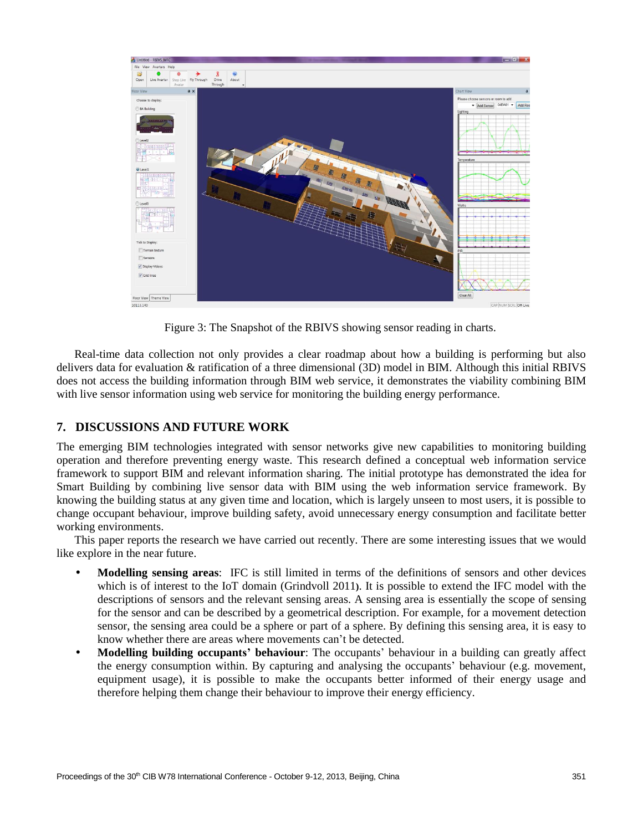

Figure 3: The Snapshot of the RBIVS showing sensor reading in charts.

Real-time data collection not only provides a clear roadmap about how a building is performing but also delivers data for evaluation & ratification of a three dimensional (3D) model in BIM. Although this initial RBIVS does not access the building information through BIM web service, it demonstrates the viability combining BIM with live sensor information using web service for monitoring the building energy performance.

## **7. DISCUSSIONS AND FUTURE WORK**

The emerging BIM technologies integrated with sensor networks give new capabilities to monitoring building operation and therefore preventing energy waste. This research defined a conceptual web information service framework to support BIM and relevant information sharing. The initial prototype has demonstrated the idea for Smart Building by combining live sensor data with BIM using the web information service framework. By knowing the building status at any given time and location, which is largely unseen to most users, it is possible to change occupant behaviour, improve building safety, avoid unnecessary energy consumption and facilitate better working environments.

This paper reports the research we have carried out recently. There are some interesting issues that we would like explore in the near future.

- **Modelling sensing areas**: IFC is still limited in terms of the definitions of sensors and other devices which is of interest to the IoT domain (Grindvoll 2011**)**. It is possible to extend the IFC model with the descriptions of sensors and the relevant sensing areas. A sensing area is essentially the scope of sensing for the sensor and can be described by a geometrical description. For example, for a movement detection sensor, the sensing area could be a sphere or part of a sphere. By defining this sensing area, it is easy to know whether there are areas where movements can't be detected.
- **Modelling building occupants' behaviour**: The occupants' behaviour in a building can greatly affect the energy consumption within. By capturing and analysing the occupants' behaviour (e.g. movement, equipment usage), it is possible to make the occupants better informed of their energy usage and therefore helping them change their behaviour to improve their energy efficiency.